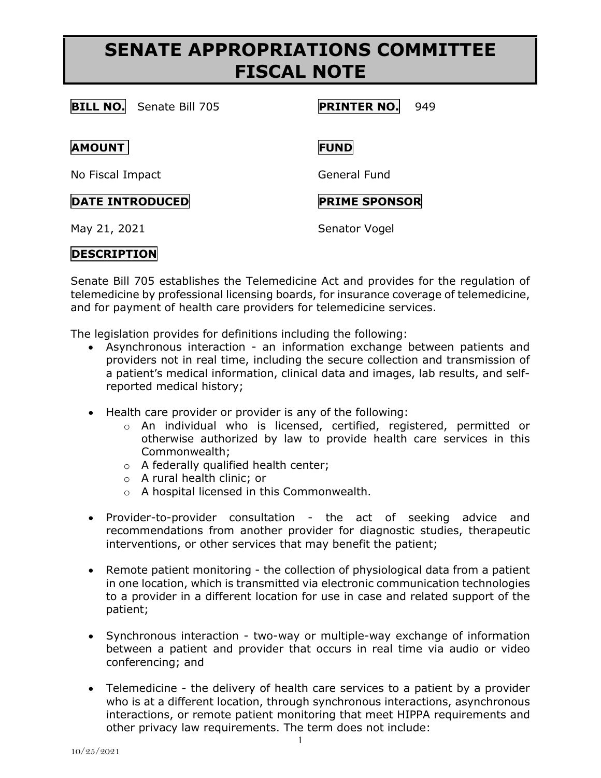# **SENATE APPROPRIATIONS COMMITTEE FISCAL NOTE**

## **BILL NO.** Senate Bill 705 **PRINTER NO.** 949

#### **AMOUNT FUND**

No Fiscal Impact General Fund

### **DATE INTRODUCED PRIME SPONSOR**

May 21, 2021 Senator Vogel

## **DESCRIPTION**

Senate Bill 705 establishes the Telemedicine Act and provides for the regulation of telemedicine by professional licensing boards, for insurance coverage of telemedicine, and for payment of health care providers for telemedicine services.

The legislation provides for definitions including the following:

- Asynchronous interaction an information exchange between patients and providers not in real time, including the secure collection and transmission of a patient's medical information, clinical data and images, lab results, and selfreported medical history;
- Health care provider or provider is any of the following:
	- o An individual who is licensed, certified, registered, permitted or otherwise authorized by law to provide health care services in this Commonwealth;
	- o A federally qualified health center;
	- o A rural health clinic; or
	- o A hospital licensed in this Commonwealth.
- Provider-to-provider consultation the act of seeking advice and recommendations from another provider for diagnostic studies, therapeutic interventions, or other services that may benefit the patient;
- Remote patient monitoring the collection of physiological data from a patient in one location, which is transmitted via electronic communication technologies to a provider in a different location for use in case and related support of the patient;
- Synchronous interaction two-way or multiple-way exchange of information between a patient and provider that occurs in real time via audio or video conferencing; and
- Telemedicine the delivery of health care services to a patient by a provider who is at a different location, through synchronous interactions, asynchronous interactions, or remote patient monitoring that meet HIPPA requirements and other privacy law requirements. The term does not include: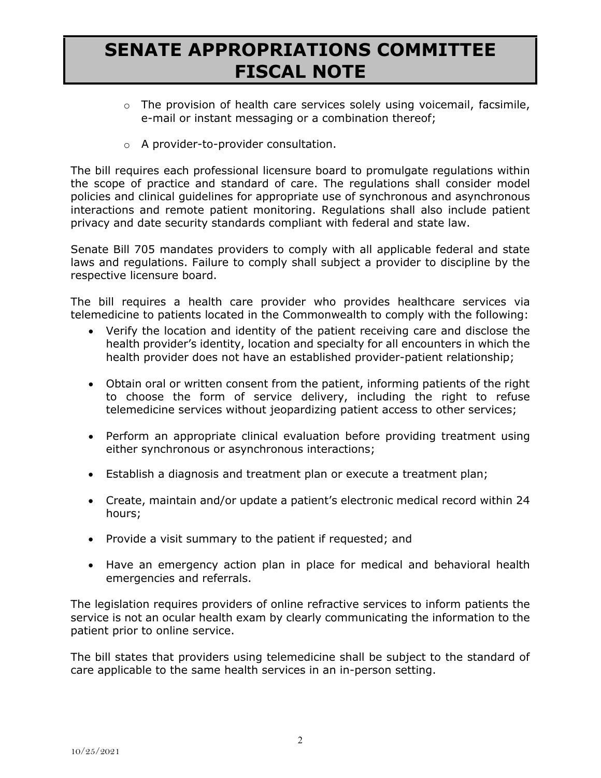# **SENATE APPROPRIATIONS COMMITTEE FISCAL NOTE**

- $\circ$  The provision of health care services solely using voicemail, facsimile, e-mail or instant messaging or a combination thereof;
- o A provider-to-provider consultation.

The bill requires each professional licensure board to promulgate regulations within the scope of practice and standard of care. The regulations shall consider model policies and clinical guidelines for appropriate use of synchronous and asynchronous interactions and remote patient monitoring. Regulations shall also include patient privacy and date security standards compliant with federal and state law.

Senate Bill 705 mandates providers to comply with all applicable federal and state laws and regulations. Failure to comply shall subject a provider to discipline by the respective licensure board.

The bill requires a health care provider who provides healthcare services via telemedicine to patients located in the Commonwealth to comply with the following:

- Verify the location and identity of the patient receiving care and disclose the health provider's identity, location and specialty for all encounters in which the health provider does not have an established provider-patient relationship;
- Obtain oral or written consent from the patient, informing patients of the right to choose the form of service delivery, including the right to refuse telemedicine services without jeopardizing patient access to other services;
- Perform an appropriate clinical evaluation before providing treatment using either synchronous or asynchronous interactions;
- Establish a diagnosis and treatment plan or execute a treatment plan;
- Create, maintain and/or update a patient's electronic medical record within 24 hours;
- Provide a visit summary to the patient if requested; and
- Have an emergency action plan in place for medical and behavioral health emergencies and referrals.

The legislation requires providers of online refractive services to inform patients the service is not an ocular health exam by clearly communicating the information to the patient prior to online service.

The bill states that providers using telemedicine shall be subject to the standard of care applicable to the same health services in an in-person setting.